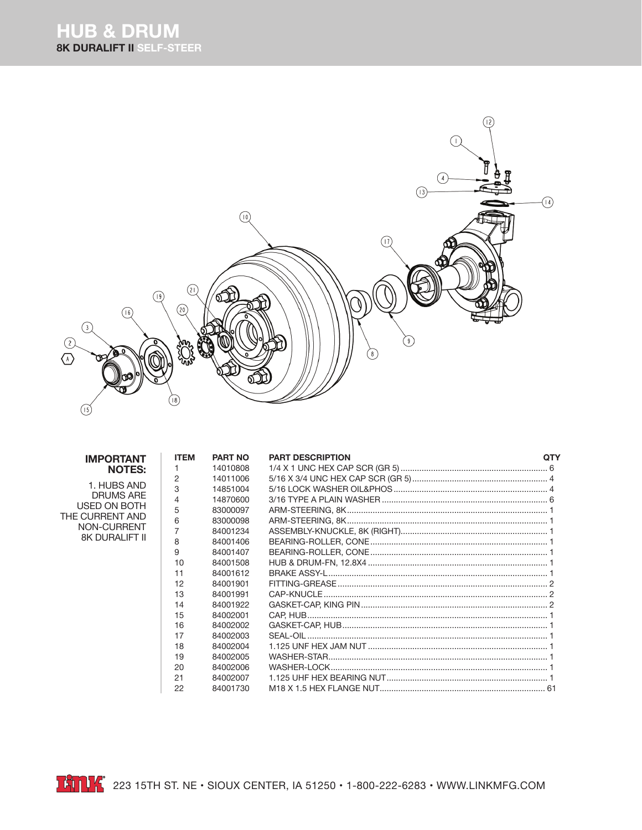

| <b>IMPORTANT</b>                                                                                           | <b>ITEM</b>    | <b>PART NO</b> | <b>PART DESCRIPTION</b> | <b>QTY</b> |
|------------------------------------------------------------------------------------------------------------|----------------|----------------|-------------------------|------------|
| <b>NOTES:</b>                                                                                              |                | 14010808       |                         |            |
| 1. HUBS AND<br><b>DRUMS ARE</b><br>USED ON BOTH<br>THE CURRENT AND<br>NON-CURRENT<br><b>8K DURALIFT II</b> | 2              | 14011006       |                         |            |
|                                                                                                            | 3              | 14851004       |                         |            |
|                                                                                                            | $\overline{4}$ | 14870600       |                         |            |
|                                                                                                            | 5              | 83000097       |                         |            |
|                                                                                                            | 6              | 83000098       |                         |            |
|                                                                                                            | 7              | 84001234       |                         |            |
|                                                                                                            | 8              | 84001406       |                         |            |
|                                                                                                            | 9              | 84001407       |                         |            |
|                                                                                                            | 10             | 84001508       |                         |            |
|                                                                                                            | 11             | 84001612       |                         |            |
|                                                                                                            | 12             | 84001901       |                         |            |
|                                                                                                            | 13             | 84001991       |                         |            |
|                                                                                                            | 14             | 84001922       |                         |            |
|                                                                                                            | 15             | 84002001       |                         |            |
|                                                                                                            | 16             | 84002002       |                         |            |
|                                                                                                            | 17             | 84002003       |                         |            |
|                                                                                                            | 18             | 84002004       |                         |            |
|                                                                                                            | 19             | 84002005       |                         |            |
|                                                                                                            | 20             | 84002006       |                         |            |
|                                                                                                            | 21             | 84002007       |                         |            |
|                                                                                                            | 22             | 84001730       |                         |            |

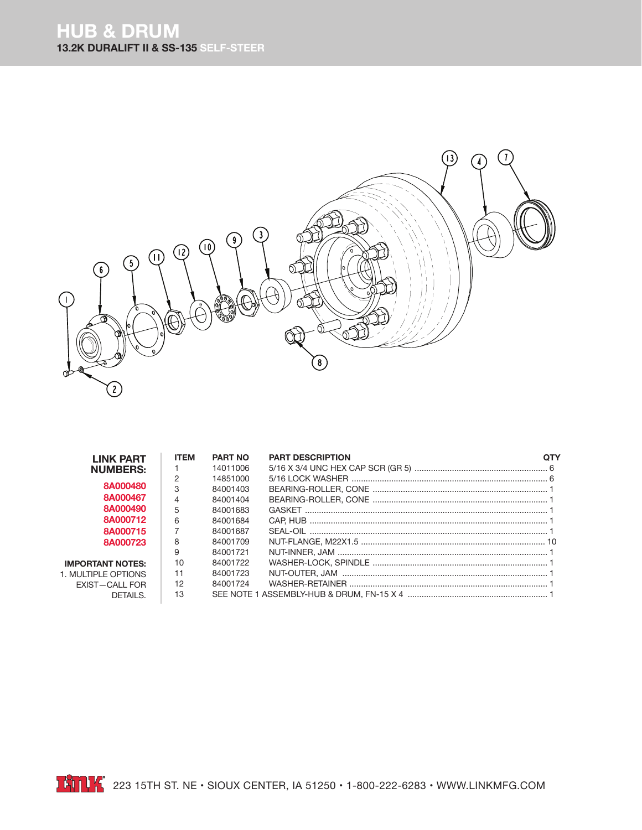## **HUB & DRUM 13.2K DURALIFT II & SS-135 SELF-STEER**



| <b>LINK PART</b>        | <b>ITEM</b>    | <b>PART NO</b> | <b>PART DESCRIPTION</b> |  |
|-------------------------|----------------|----------------|-------------------------|--|
| <b>NUMBERS:</b>         |                | 14011006       |                         |  |
|                         | 2              | 14851000       |                         |  |
| 8A000480                | 3              | 84001403       |                         |  |
| 8A000467                | $\overline{4}$ | 84001404       |                         |  |
| 8A000490                | 5              | 84001683       |                         |  |
| 8A000712                | 6              | 84001684       |                         |  |
| 8A000715                |                | 84001687       |                         |  |
| 8A000723                | 8              | 84001709       |                         |  |
|                         | 9              | 84001721       |                         |  |
| <b>IMPORTANT NOTES:</b> | 10             | 84001722       |                         |  |
| 1. MULTIPLE OPTIONS     | 11             | 84001723       |                         |  |
| EXIST-CALL FOR          | 12             | 84001724       |                         |  |
| DETAILS.                | 13             |                |                         |  |